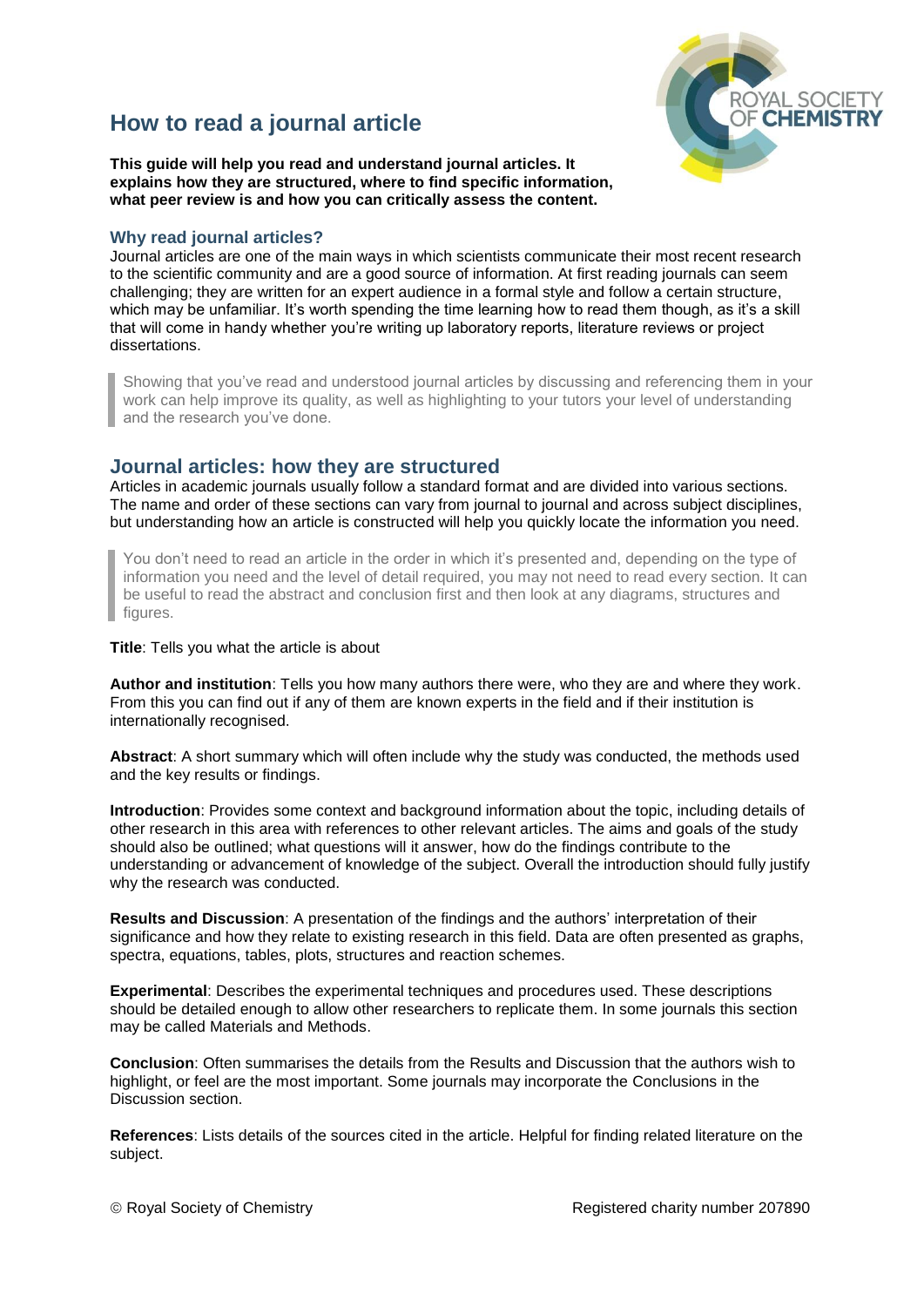# **How to read a journal article**



**This guide will help you read and understand journal articles. It explains how they are structured, where to find specific information, what peer review is and how you can critically assess the content.** 

### **Why read journal articles?**

Journal articles are one of the main ways in which scientists communicate their most recent research to the scientific community and are a good source of information. At first reading journals can seem challenging; they are written for an expert audience in a formal style and follow a certain structure, which may be unfamiliar. It's worth spending the time learning how to read them though, as it's a skill that will come in handy whether you're writing up laboratory reports, literature reviews or project dissertations.

Showing that you've read and understood journal articles by discussing and referencing them in your work can help improve its quality, as well as highlighting to your tutors your level of understanding and the research you've done.

### **Journal articles: how they are structured**

Articles in academic journals usually follow a standard format and are divided into various sections. The name and order of these sections can vary from journal to journal and across subject disciplines, but understanding how an article is constructed will help you quickly locate the information you need.

You don't need to read an article in the order in which it's presented and, depending on the type of information you need and the level of detail required, you may not need to read every section. It can be useful to read the abstract and conclusion first and then look at any diagrams, structures and figures.

#### **Title**: Tells you what the article is about

**Author and institution**: Tells you how many authors there were, who they are and where they work. From this you can find out if any of them are known experts in the field and if their institution is internationally recognised.

**Abstract**: A short summary which will often include why the study was conducted, the methods used and the key results or findings.

**Introduction**: Provides some context and background information about the topic, including details of other research in this area with references to other relevant articles. The aims and goals of the study should also be outlined; what questions will it answer, how do the findings contribute to the understanding or advancement of knowledge of the subject. Overall the introduction should fully justify why the research was conducted.

**Results and Discussion**: A presentation of the findings and the authors' interpretation of their significance and how they relate to existing research in this field. Data are often presented as graphs, spectra, equations, tables, plots, structures and reaction schemes.

**Experimental**: Describes the experimental techniques and procedures used. These descriptions should be detailed enough to allow other researchers to replicate them. In some journals this section may be called Materials and Methods.

**Conclusion**: Often summarises the details from the Results and Discussion that the authors wish to highlight, or feel are the most important. Some journals may incorporate the Conclusions in the Discussion section.

**References**: Lists details of the sources cited in the article. Helpful for finding related literature on the subject.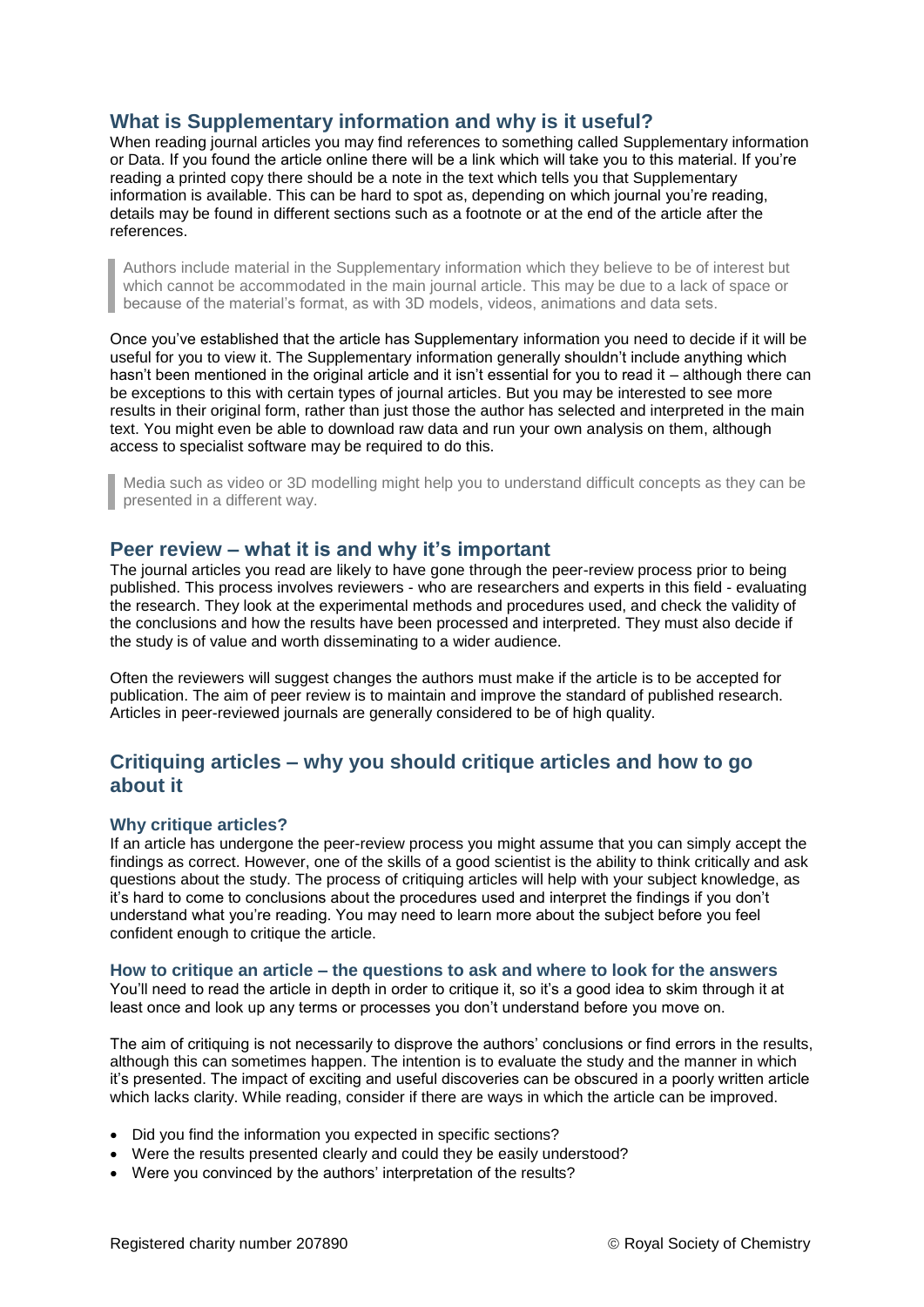# **What is Supplementary information and why is it useful?**

When reading journal articles you may find references to something called Supplementary information or Data. If you found the article online there will be a link which will take you to this material. If you're reading a printed copy there should be a note in the text which tells you that Supplementary information is available. This can be hard to spot as, depending on which journal you're reading, details may be found in different sections such as a footnote or at the end of the article after the references.

Authors include material in the Supplementary information which they believe to be of interest but which cannot be accommodated in the main journal article. This may be due to a lack of space or because of the material's format, as with 3D models, videos, animations and data sets.

Once you've established that the article has Supplementary information you need to decide if it will be useful for you to view it. The Supplementary information generally shouldn't include anything which hasn't been mentioned in the original article and it isn't essential for you to read it – although there can be exceptions to this with certain types of journal articles. But you may be interested to see more results in their original form, rather than just those the author has selected and interpreted in the main text. You might even be able to download raw data and run your own analysis on them, although access to specialist software may be required to do this.

Media such as video or 3D modelling might help you to understand difficult concepts as they can be presented in a different way.

## **Peer review – what it is and why it's important**

The journal articles you read are likely to have gone through the peer-review process prior to being published. This process involves reviewers - who are researchers and experts in this field - evaluating the research. They look at the experimental methods and procedures used, and check the validity of the conclusions and how the results have been processed and interpreted. They must also decide if the study is of value and worth disseminating to a wider audience.

Often the reviewers will suggest changes the authors must make if the article is to be accepted for publication. The aim of peer review is to maintain and improve the standard of published research. Articles in peer-reviewed journals are generally considered to be of high quality.

# **Critiquing articles – why you should critique articles and how to go about it**

### **Why critique articles?**

If an article has undergone the peer-review process you might assume that you can simply accept the findings as correct. However, one of the skills of a good scientist is the ability to think critically and ask questions about the study. The process of critiquing articles will help with your subject knowledge, as it's hard to come to conclusions about the procedures used and interpret the findings if you don't understand what you're reading. You may need to learn more about the subject before you feel confident enough to critique the article.

### **How to critique an article – the questions to ask and where to look for the answers**

You'll need to read the article in depth in order to critique it, so it's a good idea to skim through it at least once and look up any terms or processes you don't understand before you move on.

The aim of critiquing is not necessarily to disprove the authors' conclusions or find errors in the results, although this can sometimes happen. The intention is to evaluate the study and the manner in which it's presented. The impact of exciting and useful discoveries can be obscured in a poorly written article which lacks clarity. While reading, consider if there are ways in which the article can be improved.

- Did you find the information you expected in specific sections?
- Were the results presented clearly and could they be easily understood?
- Were you convinced by the authors' interpretation of the results?